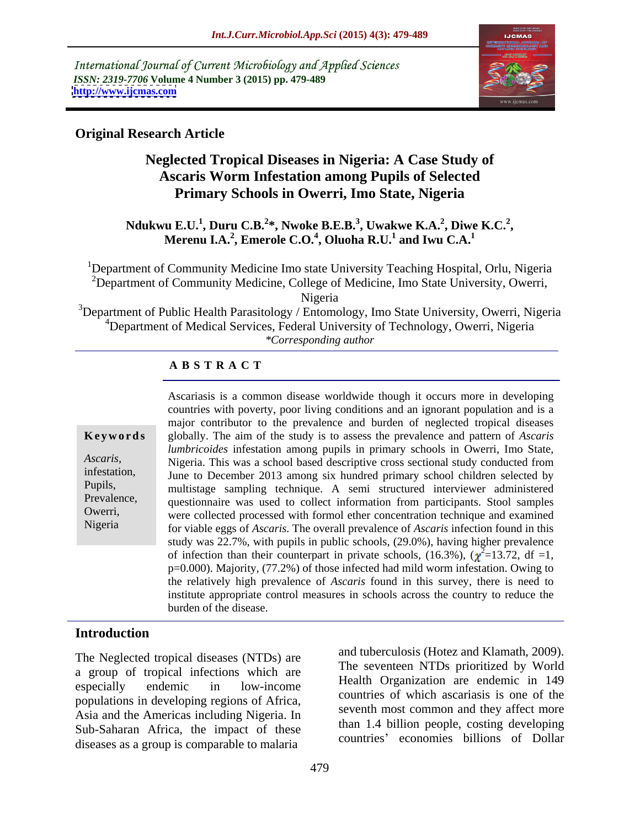International Journal of Current Microbiology and Applied Sciences *ISSN: 2319-7706* **Volume 4 Number 3 (2015) pp. 479-489 <http://www.ijcmas.com>**



## **Original Research Article**

# **Neglected Tropical Diseases in Nigeria: A Case Study of Ascaris Worm Infestation among Pupils of Selected Primary Schools in Owerri, Imo State, Nigeria**

### **Ndukwu E.U.<sup>1</sup> , Duru C.B.<sup>2</sup> \*, Nwoke B.E.B.<sup>3</sup> , Uwakwe K.A.<sup>2</sup> , Diwe K.C.<sup>2</sup> , Merenu I.A.<sup>2</sup> , Emerole C.O.<sup>4</sup> , Oluoha R.U.<sup>1</sup> and Iwu C.A.<sup>1</sup>**

<sup>1</sup>Department of Community Medicine Imo state University Teaching Hospital, Orlu, Nigeria  $2D$ epartment of Community Medicine, College of Medicine, Imo State University, Owerri, Nigeria

 $3$ Department of Public Health Parasitology / Entomology, Imo State University, Owerri, Nigeria <sup>4</sup>Department of Medical Services, Federal University of Technology, Owerri, Nigeria *\*Corresponding author*

### **A B S T R A C T**

Nigeria

Ascariasis is a common disease worldwide though it occurs more in developing countries with poverty, poor living conditions and an ignorant population and is a major contributor to the prevalence and burden of neglected tropical diseases **Keywords** globally. The aim of the study is to assess the prevalence and pattern of *Ascaris lumbricoides* infestation among pupils in primary schools in Owerri, Imo State, Nigeria. This was a school based descriptive cross sectional study conducted from *Ascaris,* infestation, June to December 2013 among six hundred primary school children selected by multistage sampling technique. A semi structured interviewer administered Pupils, Prevalence, questionnaire was used to collect information from participants. Stool samples Owerri, were collected processed with formol ether concentration technique and examined for viable eggs of *Ascaris.* The overall prevalence of *Ascaris* infection found in this study was 22.7%, with pupils in public schools, (29.0%), having higher prevalence of infection than their counterpart in private schools, (16.3%),  $(\chi^2=13.72, df=1,$ p=0.000). Majority, (77.2%) of those infected had mild worm infestation. Owing to the relatively high prevalence of *Ascaris* found in this survey, there is need to institute appropriate control measures in schools across the country to reduce the burden of the disease.

# **Introduction**

The Neglected tropical diseases (NTDs) are a group of tropical infections which are populations in developing regions of Africa, Asia and the Americas including Nigeria. In Sub-Saharan Africa, the impact of these diseases as a group is comparable to malaria

especially endemic in low-income  $\frac{1}{2}$  entering the endemic in  $\frac{149}{2}$ and tuberculosis (Hotez and Klamath, 2009). The seventeen NTDs prioritized by World Health Organization are endemic in 149 countries of which ascariasis is one of the seventh most common and they affect more than 1.4 billion people, costing developing countries' economies billions of Dollar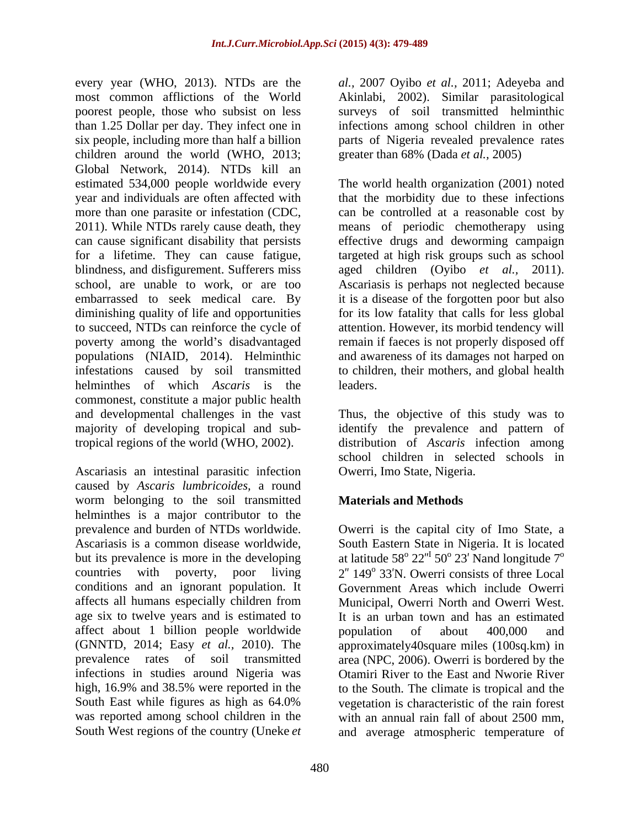every year (WHO, 2013). NTDs are the *al.*, 2007 Oyibo *et al.*, 2011; Adeyeba and most common afflictions of the World Akinlabi, 2002). Similar parasitological poorest people, those who subsist on less surveys of soil transmitted helminthic than 1.25 Dollar per day. They infect one in infections among school children in other six people, including more than half a billion parts of Nigeria revealed prevalence rates children around the world (WHO, 2013; Global Network, 2014). NTDs kill an year and individuals are often affected with more than one parasite or infestation (CDC, helminthes of which *Ascaris* is the commonest, constitute a major public health and developmental challenges in the vast Thus, the objective of this study was to majority of developing tropical and sub-identify the prevalence and pattern of tropical regions of the world (WHO, 2002). distribution of *Ascaris* infection among

Ascariasis an intestinal parasitic infection caused by *Ascaris lumbricoides,* a round worm belonging to the soil transmitted helminthes is a major contributor to the prevalence and burden of NTDs worldwide. Owerri is the capital city of Imo State, a Ascariasis is a common disease worldwide, South Eastern State in Nigeria. It is located but its prevalence is more in the developing at latitude  $58^{\circ}$   $22^{\prime\prime}$   $50^{\circ}$   $23'$  Nand longitude  $7^{\circ}$ countries with poverty, poor living  $2'' 149^{\circ} 33'N$ . Owerri consists of three Local conditions and an ignorant population. It affects all humans especially children from age six to twelve years and is estimated to affect about 1 billion people worldwide boundation of about 400,000 and (GNNTD, 2014; Easy *et al.,* 2010). The approximately40square miles (100sq.km) in prevalence rates of soil transmitted area (NPC, 2006). Owerri is bordered by the infections in studies around Nigeria was Otamiri River to the East and Nworie River high, 16.9% and 38.5% were reported in the to the South. The climate is tropical and the South East while figures as high as 64.0% vegetation is characteristic of the rain forest was reported among school children in the with an annual rain fall of about 2500 mm,

greater than 68% (Dada *et al.,* 2005)

estimated 534,000 people worldwide every The world health organization (2001) noted 2011). While NTDs rarely cause death, they means of periodic chemotherapy using can cause significant disability that persists effective drugs and deworming campaign for a lifetime. They can cause fatigue, targeted at high risk groups such as school blindness, and disfigurement. Sufferers miss aged children (Oyibo *et al.,* 2011). school, are unable to work, or are too Ascariasis is perhaps not neglected because embarrassed to seek medical care. By it is a disease of the forgotten poor but also diminishing quality of life and opportunities for its low fatality that calls for less global to succeed, NTDs can reinforce the cycle of attention. However, its morbid tendency will poverty among the world's disadvantaged remain if faeces is not properly disposed off populations (NIAID, 2014). Helminthic and awareness of its damages not harped on infestations caused by soil transmitted to children, their mothers, and global health that the morbidity due to these infections can be controlled at a reasonable cost by leaders.

> school children in selected schools in Owerri, Imo State, Nigeria.

## **Materials and Methods**

South West regions of the country (Uneke *et* and average atmospheric temperature of at latitude 58° 22″ 50° 23′ Nand longitude 7°<br>2″ 149° 33′N. Owerri consists of three Local Government Areas which include Owerri Municipal, Owerri North and Owerri West. It is an urban town and has an estimated population of about 400,000 and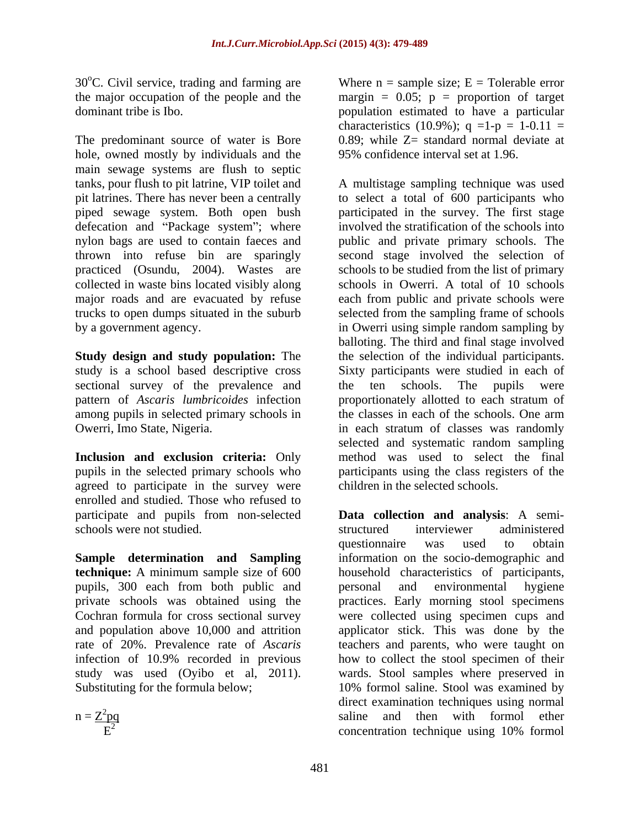30°C. Civil service, trading and farming are

The predominant source of water is Bore hole, owned mostly by individuals and the main sewage systems are flush to septic piped sewage system. Both open bush defecation and "Package system"; where collected in waste bins located visibly along schools in Owerri. A total of 10 schools

study is a school based descriptive cross sectional survey of the prevalence and the ten schools. The pupils were pattern of *Ascaris lumbricoides* infection among pupils in selected primary schools in the classes in each of the schools. One arm

agreed to participate in the survey were enrolled and studied. Those who refused to schools were not studied. The structured interviewer administered

pupils, 300 each from both public and personal and environmental hygiene

the major occupation of the people and the margin  $= 0.05$ ;  $p =$  proportion of target dominant tribe is Ibo. population estimated to have a particular Where  $n =$  sample size;  $E =$  Tolerable error characteristics (10.9%);  $q = 1-p = 1-0.11 =$  $0.89$ ; while  $Z=$  standard normal deviate at 95% confidence interval set at 1.96.

tanks, pour flush to pit latrine, VIP toilet and A multistage sampling technique was used pit latrines. There has never been a centrally to select a total of 600 participants who nylon bags are used to contain faeces and public and private primary schools. The thrown into refuse bin are sparingly second stage involved the selection of practiced (Osundu, 2004). Wastes are schools to be studied from the list of primary major roads and are evacuated by refuse each from public and private schools were trucks to open dumps situated in the suburb selected from the sampling frame of schools by a government agency. in Owerri using simple random sampling by **Study design and study population:** The the selection of the individual participants. Owerri, Imo State, Nigeria. in each stratum of classes was randomly **Inclusion and exclusion criteria:** Only method was used to select the final pupils in the selected primary schools who participants using the class registers of the participated in the survey. The first stage involved the stratification of the schools into schools in Owerri. A total of 10 schools balloting. The third and final stage involved Sixty participants were studied in each of the ten schools. The pupils were proportionately allotted to each stratum of the classes in each of the schools. One arm selected and systematic random sampling children in the selected schools.

participate and pupils from non-selected **Data collection and analysis**: A semi- **Sample determination and Sampling** information on the socio-demographic and **technique:** A minimum sample size of 600 household characteristics of participants, private schools was obtained using the practices. Early morning stool specimens Cochran formula for cross sectional survey were collected using specimen cups and and population above 10,000 and attrition applicator stick. This was done by the rate of 20%. Prevalence rate of *Ascaris* teachers and parents, who were taught on infection of 10.9% recorded in previous how to collect the stool specimen of their study was used (Oyibo et al, 2011). wards. Stool samples where preserved in Substituting for the formula below; 10% formol saline. Stool was examined by  $n = \frac{Z^2 pq}{\text{sign}}$  saline and then with formol ether  $E<sup>2</sup>$  concentration technique using 10% formol structured interviewer administered questionnaire was used to obtain personal and environmental hygiene direct examination techniques using normal concentration technique using 10% formol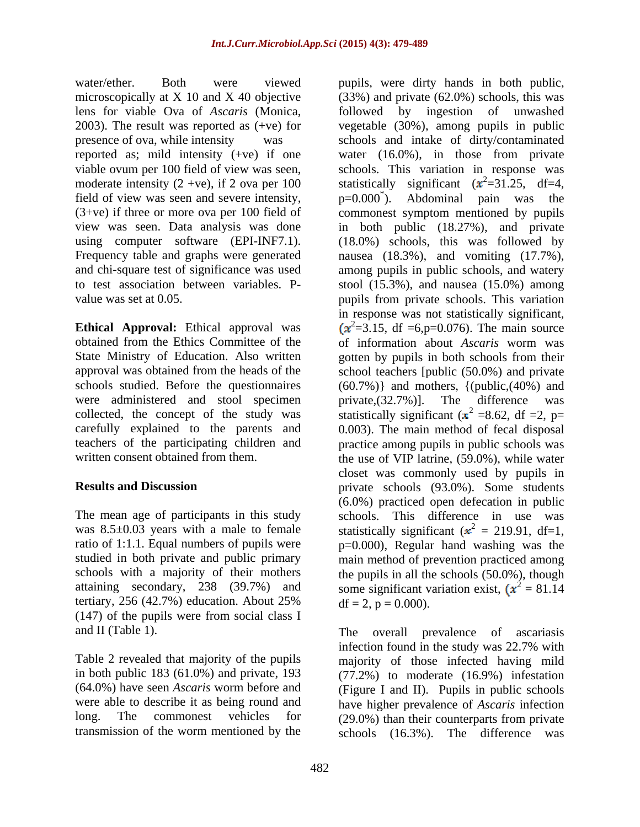water/ether. Both were viewed pupils, were dirty hands in both public, lens for viable Ova of *Ascaris* (Monica, field of view was seen and severe intensity,  $p=0.000^{\degree}$ ). Abdominal pain was the

**Ethical Approval:** Ethical approval was  $(x^2=3.15, df = 6, p=0.076)$ . The main source were administered and stool specimen private,  $(32.7\%)$ . The difference was carefully explained to the parents and

attaining secondary, 238 (39.7%) and tertiary, 256 (42.7%) education. About 25% (147) of the pupils were from social class I

microscopically at X 10 and X 40 objective (33%) and private (62.0%) schools, this was 2003). The result was reported as (+ve) for vegetable (30%), among pupils in public presence of ova, while intensity was schools and intake of dirty/contaminated reported as; mild intensity (+ve) if one water (16.0%), in those from private viable ovum per 100 field of view was seen, schools. This variation in response was moderate intensity (2 +ve), if 2 ova per 100 statistically significant  $(x^2=31.25, df=4,$ (3+ve) if three or more ova per 100 field of commonest symptom mentioned by pupils view was seen. Data analysis was done in both public (18.27%), and private using computer software (EPI-INF7.1). (18.0%) schools, this was followed by Frequency table and graphs were generated a nausea (18.3%), and vomiting (17.7%), and chi-square test of significance was used among pupils in public schools, and watery to test association between variables. P- stool (15.3%), and nausea (15.0%) among value was set at 0.05. pupils from private schools. This variation obtained from the Ethics Committee of the of information about *Ascaris* worm was State Ministry of Education. Also written gotten by pupils in both schools from their approval was obtained from the heads of the school teachers [public (50.0%) and private schools studied. Before the questionnaires (60.7%)} and mothers, {(public,(40%) and collected, the concept of the study was statistically significant  $(x^2 = 8.62, df = 2, p=$ teachers of the participating children and practice among pupils in public schools was written consent obtained from them. <br>the use of VIP latrine, (59.0%), while water **Results and Discussion** private schools (93.0%). Some students The mean age of participants in this study schools. This difference in use was was 8.5 $\pm$ 0.03 years with a male to female statistically significant ( $x^2 = 219.91$ , df=1, ratio of 1:1.1. Equal numbers of pupils were  $p=0.000$ , Regular hand washing was the studied in both private and public primary main method of prevention practiced among schools with a majority of their mothers the pupils in all the schools (50.0%), though followed by ingestion of unwashed Abdominal pain was ). Abdominal pain was the in response was not statistically significant,  $(x^2=3.15, df = 6, p=0.076)$ . The main source private,(32.7%)]. The difference was 0.003). The main method of fecal disposal closet was commonly used by pupils in (6.0%) practiced open defecation in public some significant variation exist,  $\mathbf{x}^2 = 81.14$  $df = 2$ ,  $p = 0.000$ ).

and II (Table 1). The overall prevalence of ascariasis Table 2 revealed that majority of the pupils majority of those infected having mild in both public 183 (61.0%) and private, 193 (77.2%) to moderate (16.9%) infestation (64.0%) have seen *Ascaris* worm before and (Figure I and II). Pupils in public schools were able to describe it as being round and have higher prevalence of *Ascaris* infection long. The commonest vehicles for (29.0%) than their counterparts from private transmission of the worm mentioned by the schools (16.3%). The difference wasinfection found in the study was 22.7% with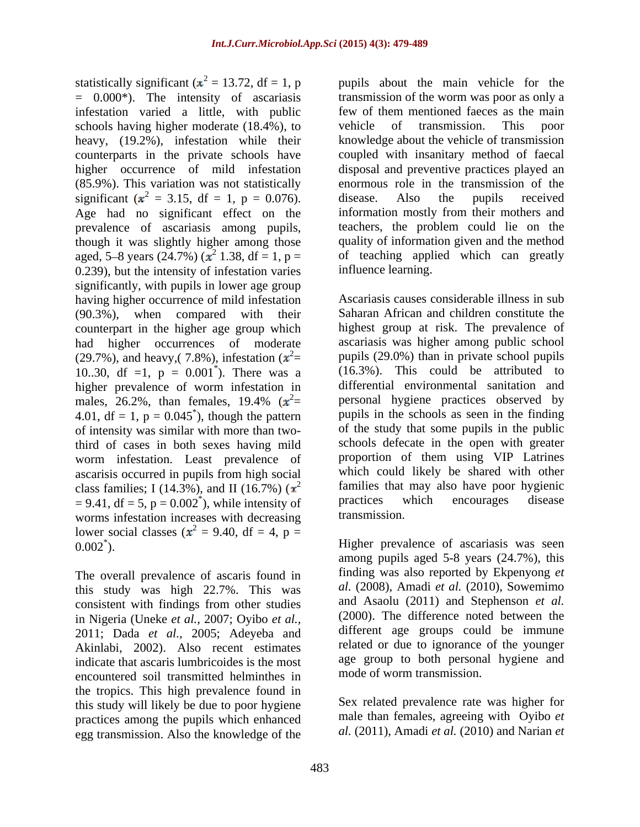statistically significant ( $x^2 = 13.72$ , df = 1, p = 0.000\*). The intensity of ascariasis infestation varied a little, with public schools having higher moderate (18.4%), to vehicle of transmission. This poor heavy, (19.2%), infestation while their counterparts in the private schools have higher occurrence of mild infestation (85.9%). This variation was not statistically significant  $(x^2 = 3.15, df = 1, p = 0.076)$ . disease. Also the pupils received Age had no significant effect on the information mostly from their mothers and prevalence of ascariasis among pupils, aged, 5–8 years (24.7%) ( $\mathbf{x}^2$  1.38, df = 1, p = 0.239), but the intensity of infestation varies significantly, with pupils in lower age group having higher occurrence of mild infestation counterpart in the higher age group which had higher occurrences of moderate (29.7%), and heavy, (7.8%), infestation  $(x^2=$ 10..30, df =1,  $p = 0.001^{\degree}$ ). There was a higher prevalence of worm infestation in 4.01, df = 1,  $p = 0.045^{\degree}$ , though the pattern of intensity was similar with more than twothird of cases in both sexes having mild worm infestation. Least prevalence of ascarisis occurred in pupils from high social class families; I (14.3%), and II (16.7%)  $(x^2$  families that may also have poor hygienic  $-9.41$  df  $-5. p - 0.002^{\circ}$  while intensity of practices which encourages disease worms infestation increases with decreasing transmission. lower social classes ( $x^2 = 9.40$ , df = 4, p =

The overall prevalence of ascaris found in this study was high 22.7%. This was consistent with findings from other studies in Nigeria (Uneke *et al.,* 2007; Oyibo *et al.,* 2011; Dada *et al.,* 2005; Adeyeba and Akinlabi, 2002). Also recent estimates indicate that ascaris lumbricoides is the most encountered soil transmitted helminthes in the tropics. This high prevalence found in this study will likely be due to poor hygiene practices among the pupils which enhanced egg transmission. Also the knowledge of the

Age had no significant effect on the information mostly from their mothers and though it was slightly higher among those quality of information given and the method 1.38,  $df = 1$ ,  $p =$  of teaching applied which can greatly pupils about the main vehicle for the transmission of the worm was poor as only a few of them mentioned faeces as the main vehicle of transmission. This poor knowledge about the vehicle of transmission coupled with insanitary method of faecal disposal and preventive practices played an enormous role in the transmission of the disease. Also the pupils received teachers, the problem could lie on the influence learning.

(90.3%), when compared with their Saharan African and children constitute the = pupils (29.0%) than in private school pupils \* ). There was a (16.3%). This could be attributed to males, 26.2%, than females, 19.4%  $(x^2$  personal hygiene practices observed by = personal hygiene practices observed by \* ), though the pattern pupils in the schools as seen in the finding  $= 9.41$ , df  $= 5$ ,  $p = 0.002^*$ , while intensity of practices which encourages disease Ascariasis causes considerable illness in sub highest group at risk. The prevalence of ascariasis was higher among public school differential environmental sanitation and of the study that some pupils in the public schools defecate in the open with greater proportion of them using VIP Latrines which could likely be shared with other families that may also have poor hygienic practices which encourages disease transmission.

0.002\* ). Higher prevalence of ascariasis was seen among pupils aged 5-8 years (24.7%), this finding was also reported by Ekpenyong *et al.* (2008), Amadi *et al.* (2010), Sowemimo and Asaolu (2011) and Stephenson *et al.* (2000). The difference noted between the different age groups could be immune related or due to ignorance of the younger age group to both personal hygiene and mode of worm transmission.

> Sex related prevalence rate was higher for male than females, agreeing with Oyibo *et al.* (2011), Amadi *et al.* (2010) and Narian *et*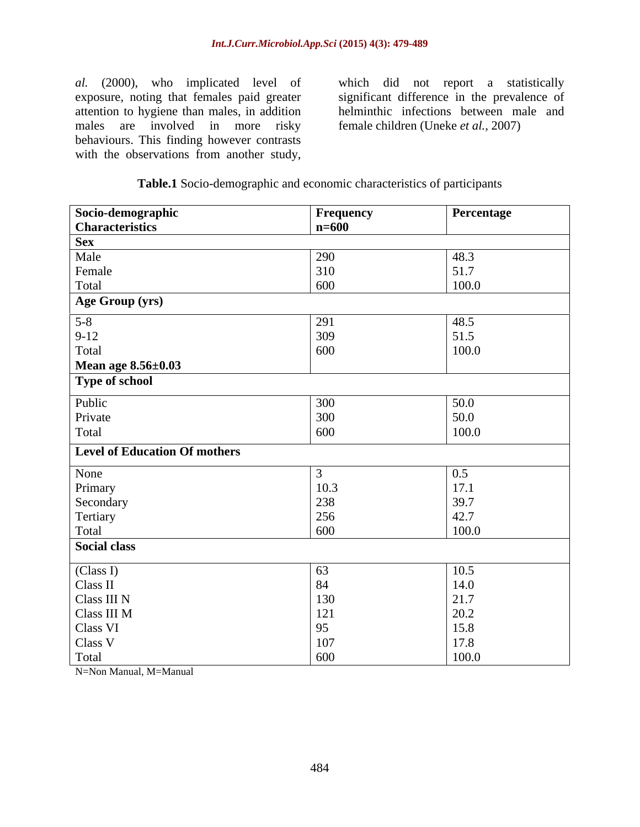exposure, noting that females paid greater attention to hygiene than males, in addition males are involved in more risky behaviours. This finding however contrasts al. (2000), who implicated level of which did not report a statistically exposure, noting that females paid greater significant difference in the prevalence of attention to hygiene than males, in addition helminthic infect

al. (2000), who implicated level of which did not report a statistically significant difference in the prevalence of helminthic infections between male and female children (Uneke *et al.,* 2007)

### **Table.1** Socio-demographic and economic characteristics of participants

| Socio-demographic                    | Frequency | Percentage                                           |
|--------------------------------------|-----------|------------------------------------------------------|
| <b>Characteristics</b>               | $n=600$   |                                                      |
| <b>Sex</b>                           |           |                                                      |
| Male                                 | 290       | 48.3                                                 |
| Female                               | 310       | 51.7                                                 |
| Total                                | 600       | 100.0                                                |
| Age Group (yrs)                      |           |                                                      |
| $5 - 8$                              | 291       | 48.5                                                 |
|                                      | 309       |                                                      |
| $9-12$<br>Total                      | 600       | $\begin{array}{c} 51.5 \\ 100.0 \end{array}$         |
| Mean age 8.56±0.03                   |           |                                                      |
| Type of school                       |           |                                                      |
|                                      |           |                                                      |
| Public                               | 300       | $\begin{array}{c} 50.0 \\ 50.0 \\ 100.0 \end{array}$ |
| Private                              | 300       |                                                      |
| Total                                | 600       |                                                      |
| <b>Level of Education Of mothers</b> |           |                                                      |
| None                                 |           | $0.5\,$                                              |
| Primary                              | 10.3      | 17.1                                                 |
| Secondary                            | 238       | 39.7                                                 |
| Tertiary                             | 256       | 42.7                                                 |
| Total                                | 600       | 100.0                                                |
| <b>Social class</b>                  |           |                                                      |
| (Class I)                            | 63        | 10.5                                                 |
| Class $\rm II$                       | 84        | 14.0                                                 |
| Class III N                          | 130       | 21.7                                                 |
| Class III M                          | 121       | 20.2                                                 |
| Class VI                             | 95        | 15.8                                                 |
| Class V                              | 107       | 17.8                                                 |
| Total                                |           |                                                      |

N=Non Manual, M=Manual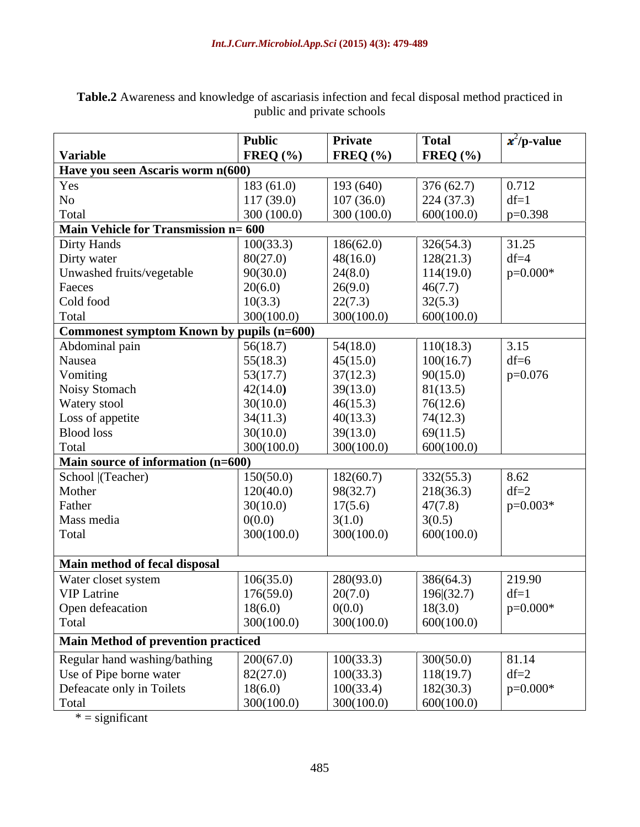|                                           | <b>Public</b> | Private      | <b>Total</b> | $\mathbf{x}^2$ /p-value |  |  |
|-------------------------------------------|---------------|--------------|--------------|-------------------------|--|--|
| <b>Variable</b>                           | FREQ $(\%$    | FREQ $(\% )$ | FREQ $(\% )$ |                         |  |  |
| Have you seen Ascaris worm n(600)         |               |              |              |                         |  |  |
| Yes                                       | 183(61.0)     | 193 (640)    | 376 (62.7)   | 0.712                   |  |  |
| No                                        | 117(39.0)     | 107(36.0)    | 224(37.3)    | $df=1$                  |  |  |
| Total                                     | 300(100.0)    | 300 (100.0)  | 600(100.0)   | $p=0.398$               |  |  |
| Main Vehicle for Transmission n= 600      |               |              |              |                         |  |  |
| Dirty Hands                               | 100(33.3)     | 186(62.0)    | 326(54.3)    | 31.25                   |  |  |
| Dirty water                               | 80(27.0)      | 48(16.0)     | 128(21.3)    | $df=4$                  |  |  |
| Unwashed fruits/vegetable                 | 90(30.0)      | 24(8.0)      | 114(19.0)    | $p=0.000*$              |  |  |
| Faeces                                    | 20(6.0)       | 26(9.0)      | 46(7.7)      |                         |  |  |
| Cold food                                 | 10(3.3)       | 22(7.3)      | 32(5.3)      |                         |  |  |
| Total                                     | 300(100.0)    | 300(100.0)   | 600(100.0)   |                         |  |  |
| Commonest symptom Known by pupils (n=600) |               |              |              |                         |  |  |
| Abdominal pain                            | 56(18.7)      | 54(18.0)     | 110(18.3)    | 3.15                    |  |  |
| Nausea                                    | 55(18.3)      | 45(15.0)     | 100(16.7)    | $df=6$                  |  |  |
| Vomiting                                  | 53(17.7)      | 37(12.3)     | 90(15.0)     | $p=0.076$               |  |  |
| Noisy Stomach                             | 42(14.0)      | 39(13.0)     | 81(13.5)     |                         |  |  |
| Watery stool                              | 30(10.0)      | 46(15.3)     | 76(12.6)     |                         |  |  |
| Loss of appetite                          | 34(11.3)      | 40(13.3)     | 74(12.3)     |                         |  |  |
| <b>Blood</b> loss                         | 30(10.0)      | 39(13.0)     | 69(11.5)     |                         |  |  |
| Total                                     | 300(100.0     | 300(100.0)   | 600(100.0)   |                         |  |  |
| Main source of information (n=600)        |               |              |              |                         |  |  |
| School (Teacher)                          | 150(50.0)     | 182(60.7)    | 332(55.3)    | 8.62                    |  |  |
| Mother                                    | 120(40.0)     | 98(32.7)     | 218(36.3)    | $df=2$                  |  |  |
| Father                                    | 30(10.0)      | 17(5.6)      | 47(7.8)      | $p=0.003*$              |  |  |
| Mass media                                | 0(0.0)        | 3(1.0)       | 3(0.5)       |                         |  |  |
| Total                                     | 300(100.0)    | 300(100.0)   | 600(100.0)   |                         |  |  |
|                                           |               |              |              |                         |  |  |
| Main method of fecal disposal             |               |              |              |                         |  |  |
| Water closet system                       | 106(35.0)     | 280(93.0)    | 386(64.3)    | 219.90                  |  |  |
| <b>VIP</b> Latrine                        | 176(59.0)     | 20(7.0)      | 196(32.7)    | $df=1$                  |  |  |
| Open defeacation                          | 18(6.0)       | 0(0.0)       | 18(3.0)      | $p=0.000*$              |  |  |
| Total                                     | 300(100.0)    | 300(100.0)   | 600(100.0)   |                         |  |  |
|                                           |               |              |              |                         |  |  |
| Main Method of prevention practiced       |               |              |              |                         |  |  |
| Regular hand washing/bathing              | 200(67.0)     | 100(33.3)    | 300(50.0)    | 81.14                   |  |  |
| Use of Pipe borne water                   | 82(27.0)      | 100(33.3)    | 118(19.7)    | $df=2$                  |  |  |
| Defeacate only in Toilets                 | 18(6.0)       | 100(33.4)    | 182(30.3)    | $p=0.000*$              |  |  |
| Total                                     | 300(100.0)    | 300(100.0)   | 600(100.0)   |                         |  |  |

**Table.2** Awareness and knowledge of ascariasis infection and fecal disposal method practiced in public and private schools **public** and private schools

 $* =$  significant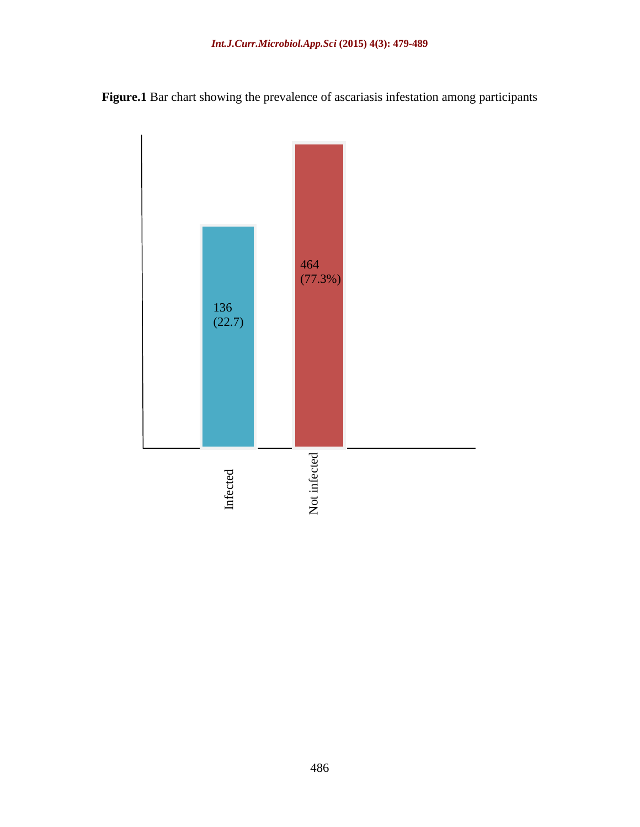**Figure.1** Bar chart showing the prevalence of ascariasis infestation among participants

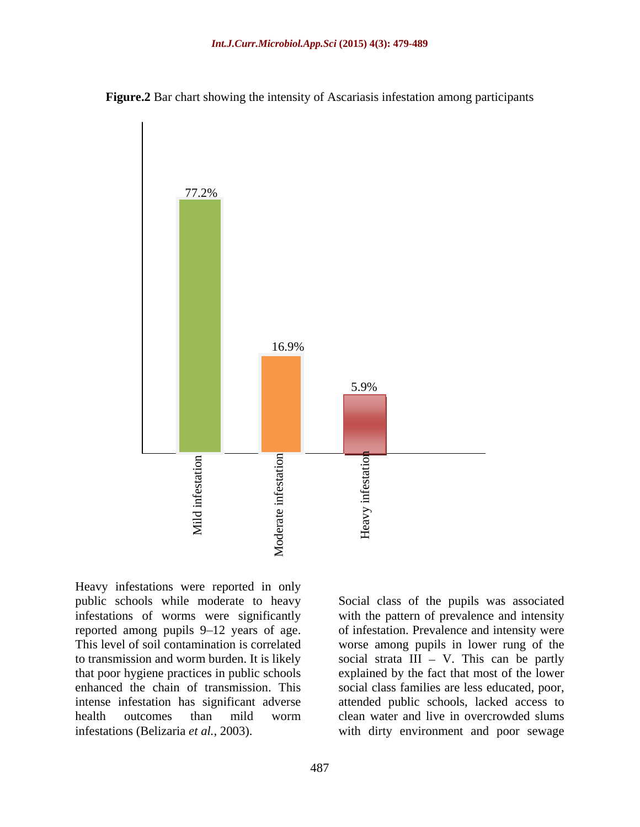



Heavy infestations were reported in only public schools while moderate to heavy Social class of the pupils was associated infestations of worms were significantly with the pattern of prevalence and intensity reported among pupils 9–12 years of age. of infestation. Prevalence and intensity were This level of soil contamination is correlated worse among pupils in lower rung of the to transmission and worm burden. It is likely social strata  $III - V$ . This can be partly that poor hygiene practices in public schools explained by the fact that most of the lower enhanced the chain of transmission. This social class families are less educated, poor, intense infestation has significant adverse attended public schools, lacked access to health outcomes than mild worm clean water and live in overcrowded slums

infestations (Belizaria *et al.,* 2003). with dirty environment and poor sewage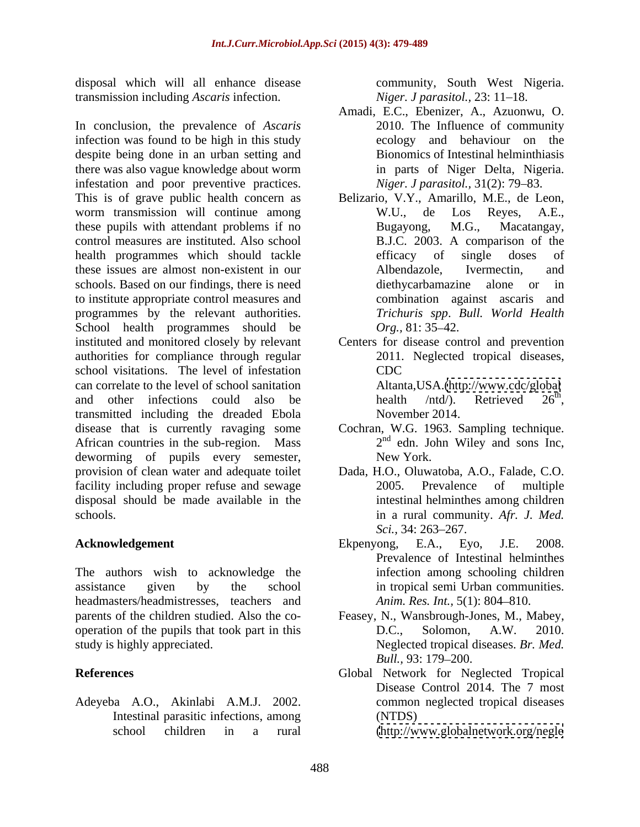disposal which will all enhance disease transmission including *Ascaris* infection.

In conclusion, the prevalence of *Ascaris* 2010. The Influence of community infection was found to be high in this study despite being done in an urban setting and there was also vague knowledge about worm infestation and poor preventive practices. This is of grave public health concern as Belizario, V.Y., Amarillo, M.E., de Leon, worm transmission will continue among W.U., de Los Reyes, A.E., these pupils with attendant problems if no Bugayong, M.G., Macatangay, control measures are instituted. Also school B.J.C. 2003. A comparison of the health programmes which should tackle **the efficacy** of single doses of these issues are almost non-existent in our schools. Based on our findings, there is need diethycarbamazine alone or in to institute appropriate control measures and programmes by the relevant authorities. School health programmes should be  $Org.$ , 81:35–42. instituted and monitored closely by relevant Centers for disease control and prevention authorities for compliance through regular school visitations. The level of infestation can correlate to the level of school sanitation and other infections could also be health  $/ntd$ . Retrieved  $26<sup>th</sup>$ , transmitted including the dreaded Ebola disease that is currently ravaging some Cochran, W.G. 1963. Sampling technique. African countries in the sub-region. Mass deworming of pupils every semester, New York. provision of clean water and adequate toilet Dada, H.O., Oluwatoba, A.O., Falade, C.O. facility including proper refuse and sewage 2005. Prevalence of multiple disposal should be made available in the

The authors wish to acknowledge the assistance given by the school in tropical semi Urban communities. headmasters/headmistresses, teachers and operation of the pupils that took part in this D.C., Solomon, A.W. 2010.

Adeyeba A.O., Akinlabi A.M.J. 2002. Intestinal parasitic infections, among (NTDS)

community, South West Nigeria. *Niger. J parasitol., 23: 11-18.* 

- Amadi, E.C., Ebenizer, A., Azuonwu, O. 2010. The Influence of community ecology and behaviour on the Bionomics of Intestinal helminthiasis in parts of Niger Delta, Nigeria. *Niger. J parasitol.,* 31(2): 79–83.
- W.U., de Los Reyes, A.E., Bugayong, M.G., Macatangay, efficacy of single doses of Albendazole, Ivermectin, and diethycarbamazine alone or in combination against ascaris and *Trichuris spp*. *Bull. World Health Org.*, 81: 35–42.
- 2011. Neglected tropical diseases, CDC Altanta,USA.[\(http://www.cdc/global](http://www.cdc/global) health /ntd/). Retrieved  $26<sup>th</sup>$ , the contract of the contract of the contract of the contract of the contract of the contract of the contract of the contract of the contract of the contract of the contract of the contract of the contract of the contract o health /ntd/). Retrieved 26<sup>th</sup>,<br>November 2014.
- 2 nd edn. John Wiley and sons Inc, New York.
- schools. in a rural community. *Afr. J. Med.* Dada, H.O., Oluwatoba, A.O., Falade, C.O. 2005. Prevalence of multiple intestinal helminthes among children *Sci.,* 34: 263–267.
- **Acknowledgement** Ekpenyong, E.A., Eyo, J.E. 2008. Ekpenyong, E.A., Eyo, J.E. 2008. Prevalence of Intestinal helminthes infection among schooling children *Anim. Res. Int.,* 5(1): 804-810.
- parents of the children studied. Also the co- Feasey, N., Wansbrough-Jones, M., Mabey, study is highly appreciated. Neglected tropical diseases. *Br. Med.* D.C., Solomon, A.W. 2010. *Bull.,* 93: 179–200.
- **References** Global Network for Neglected Tropical Disease Control 2014. The 7 most common neglected tropical diseases (NTDS)

school children in a rural [\(http://www.globalnetwork.org/negle](http://www.globalnetwork.org/negle)